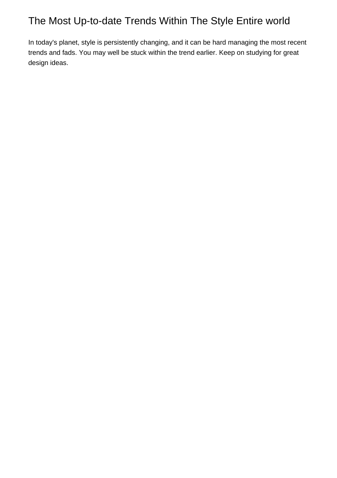## The Most Up-to-date Trends Within The Style Entire world

In today's planet, style is persistently changing, and it can be hard managing the most recent trends and fads. You may well be stuck within the trend earlier. Keep on studying for great design ideas.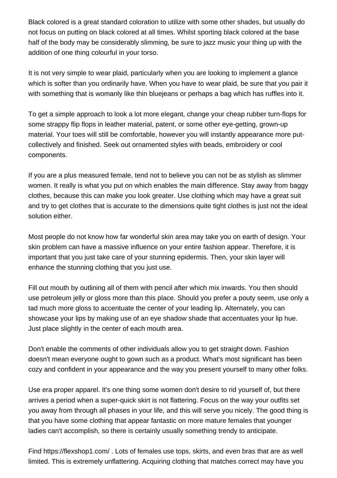Black colored is a great standard coloration to utilize with some other shades, but usually do not focus on putting on black colored at all times. Whilst sporting black colored at the base half of the body may be considerably slimming, be sure to jazz music your thing up with the addition of one thing colourful in your torso.

It is not very simple to wear plaid, particularly when you are looking to implement a glance which is softer than you ordinarily have. When you have to wear plaid, be sure that you pair it with something that is womanly like thin bluejeans or perhaps a bag which has ruffles into it.

To get a simple approach to look a lot more elegant, change your cheap rubber turn-flops for some strappy flip flops in leather material, patent, or some other eye-getting, grown-up material. Your toes will still be comfortable, however you will instantly appearance more putcollectively and finished. Seek out ornamented styles with beads, embroidery or cool components.

If you are a plus measured female, tend not to believe you can not be as stylish as slimmer women. It really is what you put on which enables the main difference. Stay away from baggy clothes, because this can make you look greater. Use clothing which may have a great suit and try to get clothes that is accurate to the dimensions quite tight clothes is just not the ideal solution either.

Most people do not know how far wonderful skin area may take you on earth of design. Your skin problem can have a massive influence on your entire fashion appear. Therefore, it is important that you just take care of your stunning epidermis. Then, your skin layer will enhance the stunning clothing that you just use.

Fill out mouth by outlining all of them with pencil after which mix inwards. You then should use petroleum jelly or gloss more than this place. Should you prefer a pouty seem, use only a tad much more gloss to accentuate the center of your leading lip. Alternately, you can showcase your lips by making use of an eye shadow shade that accentuates your lip hue. Just place slightly in the center of each mouth area.

Don't enable the comments of other individuals allow you to get straight down. Fashion doesn't mean everyone ought to gown such as a product. What's most significant has been cozy and confident in your appearance and the way you present yourself to many other folks.

Use era proper apparel. It's one thing some women don't desire to rid yourself of, but there arrives a period when a super-quick skirt is not flattering. Focus on the way your outfits set you away from through all phases in your life, and this will serve you nicely. The good thing is that you have some clothing that appear fantastic on more mature females that younger ladies can't accomplish, so there is certainly usually something trendy to anticipate.

Find <https://flexshop1.com/> . Lots of females use tops, skirts, and even bras that are as well limited. This is extremely unflattering. Acquiring clothing that matches correct may have you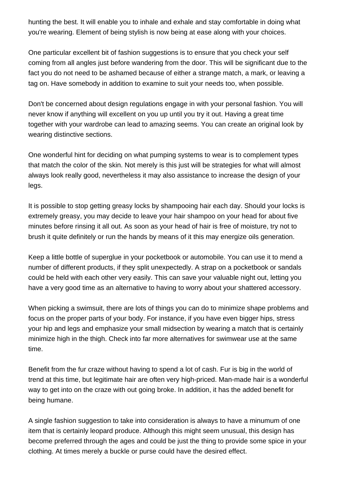hunting the best. It will enable you to inhale and exhale and stay comfortable in doing what you're wearing. Element of being stylish is now being at ease along with your choices.

One particular excellent bit of fashion suggestions is to ensure that you check your self coming from all angles just before wandering from the door. This will be significant due to the fact you do not need to be ashamed because of either a strange match, a mark, or leaving a tag on. Have somebody in addition to examine to suit your needs too, when possible.

Don't be concerned about design regulations engage in with your personal fashion. You will never know if anything will excellent on you up until you try it out. Having a great time together with your wardrobe can lead to amazing seems. You can create an original look by wearing distinctive sections.

One wonderful hint for deciding on what pumping systems to wear is to complement types that match the color of the skin. Not merely is this just will be strategies for what will almost always look really good, nevertheless it may also assistance to increase the design of your legs.

It is possible to stop getting greasy locks by shampooing hair each day. Should your locks is extremely greasy, you may decide to leave your hair shampoo on your head for about five minutes before rinsing it all out. As soon as your head of hair is free of moisture, try not to brush it quite definitely or run the hands by means of it this may energize oils generation.

Keep a little bottle of superglue in your pocketbook or automobile. You can use it to mend a number of different products, if they split unexpectedly. A strap on a pocketbook or sandals could be held with each other very easily. This can save your valuable night out, letting you have a very good time as an alternative to having to worry about your shattered accessory.

When picking a swimsuit, there are lots of things you can do to minimize shape problems and focus on the proper parts of your body. For instance, if you have even bigger hips, stress your hip and legs and emphasize your small midsection by wearing a match that is certainly minimize high in the thigh. Check into far more alternatives for swimwear use at the same time.

Benefit from the fur craze without having to spend a lot of cash. Fur is big in the world of trend at this time, but legitimate hair are often very high-priced. Man-made hair is a wonderful way to get into on the craze with out going broke. In addition, it has the added benefit for being humane.

A single fashion suggestion to take into consideration is always to have a minumum of one item that is certainly leopard produce. Although this might seem unusual, this design has become preferred through the ages and could be just the thing to provide some spice in your clothing. At times merely a buckle or purse could have the desired effect.